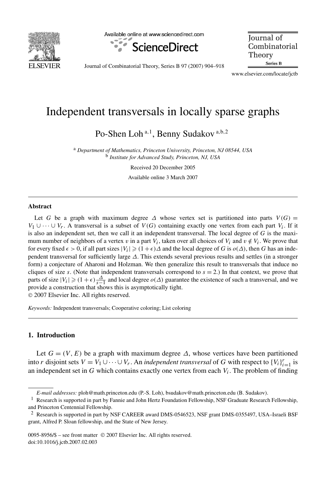

Available online at www.sciencedirect.com



**Journal** of Combinatorial Theory Series B

Journal of Combinatorial Theory, Series B 97 (2007) 904–918

www.elsevier.com/locate/jctb

# Independent transversals in locally sparse graphs

Po-Shen Loh <sup>a</sup>*,*<sup>1</sup> , Benny Sudakov <sup>a</sup>*,*b*,*<sup>2</sup>

<sup>a</sup> *Department of Mathematics, Princeton University, Princeton, NJ 08544, USA* <sup>b</sup> *Institute for Advanced Study, Princeton, NJ, USA*

Received 20 December 2005

Available online 3 March 2007

#### **Abstract**

Let *G* be a graph with maximum degree  $\Delta$  whose vertex set is partitioned into parts  $V(G)$  = *V*<sub>1</sub> ∪ ··· ∪ *V<sub>r</sub>*. A transversal is a subset of *V*(*G*) containing exactly one vertex from each part *V<sub>i</sub>*. If it is also an independent set, then we call it an independent transversal. The local degree of *G* is the maximum number of neighbors of a vertex *v* in a part  $V_i$ , taken over all choices of  $V_i$  and  $v \notin V_i$ . We prove that for every fixed  $\epsilon > 0$ , if all part sizes  $|V_i| \geq (1 + \epsilon)\Delta$  and the local degree of *G* is  $o(\Delta)$ , then *G* has an independent transversal for sufficiently large *Δ*. This extends several previous results and settles (in a stronger form) a conjecture of Aharoni and Holzman. We then generalize this result to transversals that induce no cliques of size *s*. (Note that independent transversals correspond to  $s = 2$ .) In that context, we prove that parts of size  $|V_i| \geq (1+\epsilon)\frac{\Delta}{s-1}$  and local degree  $o(\Delta)$  guarantee the existence of such a transversal, and we provide a construction that shows this is asymptotically tight. © 2007 Elsevier Inc. All rights reserved.

*Keywords:* Independent transversals; Cooperative coloring; List coloring

# **1. Introduction**

Let  $G = (V, E)$  be a graph with maximum degree  $\Delta$ , whose vertices have been partitioned into *r* disjoint sets  $V = V_1 \cup \cdots \cup V_r$ . An *independent transversal* of *G* with respect to  $\{V_i\}_{i=1}^r$  is an independent set in  $G$  which contains exactly one vertex from each  $V_i$ . The problem of finding

*E-mail addresses:* ploh@math.princeton.edu (P.-S. Loh), bsudakov@math.princeton.edu (B. Sudakov).

<sup>&</sup>lt;sup>1</sup> Research is supported in part by Fannie and John Hertz Foundation Fellowship, NSF Graduate Research Fellowship, and Princeton Centennial Fellowship.

<sup>2</sup> Research is supported in part by NSF CAREER award DMS-0546523, NSF grant DMS-0355497, USA–Israeli BSF grant, Alfred P. Sloan fellowship, and the State of New Jersey.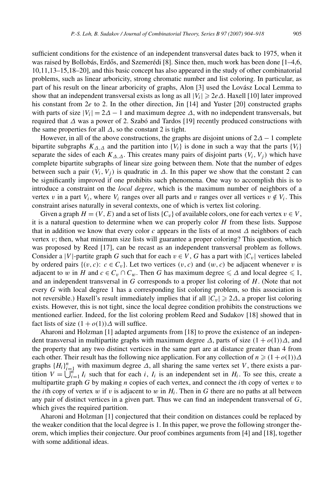sufficient conditions for the existence of an independent transversal dates back to 1975, when it was raised by Bollobás, Erdős, and Szemerédi [8]. Since then, much work has been done  $[1-4,6, 1]$ 10,11,13–15,18–20], and this basic concept has also appeared in the study of other combinatorial problems, such as linear arboricity, strong chromatic number and list coloring. In particular, as part of his result on the linear arboricity of graphs, Alon [3] used the Lovász Local Lemma to show that an independent transversal exists as long as all  $|V_i| \geqslant 2e\Delta$ . Haxell [10] later improved his constant from 2*e* to 2. In the other direction, Jin [14] and Yuster [20] constructed graphs with parts of size  $|V_i| = 2\Delta - 1$  and maximum degree  $\Delta$ , with no independent transversals, but required that *Δ* was a power of 2. Szabó and Tardos [19] recently produced constructions with the same properties for all  $\Delta$ , so the constant 2 is tight.

However, in all of the above constructions, the graphs are disjoint unions of  $2\Delta - 1$  complete bipartite subgraphs  $K_{\Lambda}$  and the partition into  ${V_i}$  is done in such a way that the parts  ${V_i}$ separate the sides of each  $K_{\Delta,\Delta}$ . This creates many pairs of disjoint parts  $(V_i, V_j)$  which have complete bipartite subgraphs of linear size going between them. Note that the number of edges between such a pair  $(V_i, V_j)$  is quadratic in  $\Delta$ . In this paper we show that the constant 2 can be significantly improved if one prohibits such phenomena. One way to accomplish this is to introduce a constraint on the *local degree*, which is the maximum number of neighbors of a vertex *v* in a part  $V_i$ , where  $V_i$  ranges over all parts and *v* ranges over all vertices  $v \notin V_i$ . This constraint arises naturally in several contexts, one of which is vertex list coloring.

Given a graph  $H = (V, E)$  and a set of lists  $\{C_v\}$  of available colors, one for each vertex  $v \in V$ , it is a natural question to determine when we can properly color *H* from these lists. Suppose that in addition we know that every color *c* appears in the lists of at most *Δ* neighbors of each vertex *v*; then, what minimum size lists will guarantee a proper coloring? This question, which was proposed by Reed [17], can be recast as an independent transversal problem as follows. Consider a |*V*|-partite graph *G* such that for each  $v \in V$ , *G* has a part with  $|C_v|$  vertices labeled by ordered pairs  $\{(v, c): c \in C_v\}$ . Let two vertices  $(v, c)$  and  $(w, c)$  be adjacent whenever v is adjacent to *w* in *H* and  $c \in C_v \cap C_w$ . Then *G* has maximum degree  $\leq \Delta$  and local degree  $\leq 1$ , and an independent transversal in *G* corresponds to a proper list coloring of *H*. (Note that not every *G* with local degree 1 has a corresponding list coloring problem, so this association is not reversible.) Haxell's result immediately implies that if all  $|C_v| \geq 2\Delta$ , a proper list coloring exists. However, this is not tight, since the local degree condition prohibits the constructions we mentioned earlier. Indeed, for the list coloring problem Reed and Sudakov [18] showed that in fact lists of size  $(1 + o(1))\Delta$  will suffice.

Aharoni and Holzman [1] adapted arguments from [18] to prove the existence of an independent transversal in multipartite graphs with maximum degree  $\Delta$ , parts of size  $(1 + o(1))\Delta$ , and the property that any two distinct vertices in the same part are at distance greater than 4 from each other. Their result has the following nice application. For any collection of  $n \geq (1 + o(1))\Delta$ graphs  ${H_i}_{i=1}^n$  with maximum degree  $\Delta$ , all sharing the same vertex set *V*, there exists a parition  $V = \bigcup_{i=1}^{n} I_i$  such that for each *i*,  $I_i$  is an independent set in  $H_i$ . To see this, create a multipartite graph *G* by making *n* copies of each vertex, and connect the *i*th copy of vertex *v* to the *i*th copy of vertex *w* if *v* is adjacent to *w* in  $H_i$ . Then in *G* there are no paths at all between any pair of distinct vertices in a given part. Thus we can find an independent transversal of *G*, which gives the required partition.

Aharoni and Holzman [1] conjectured that their condition on distances could be replaced by the weaker condition that the local degree is 1. In this paper, we prove the following stronger theorem, which implies their conjecture. Our proof combines arguments from [4] and [18], together with some additional ideas.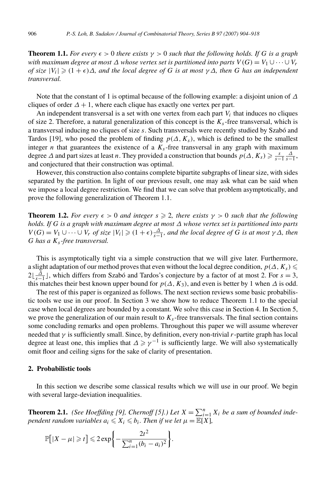**Theorem 1.1.** *For every*  $\epsilon > 0$  *there exists*  $\gamma > 0$  *such that the following holds. If* G *is a graph with maximum degree at most*  $\Delta$  *whose vertex set is partitioned into parts*  $V(G) = V_1 \cup \cdots \cup V_r$ *of size*  $|V_i| \geq (1 + \epsilon) \Delta$ , and the local degree of G is at most  $\gamma \Delta$ , then G has an independent *transversal.*

Note that the constant of 1 is optimal because of the following example: a disjoint union of *Δ* cliques of order  $\Delta + 1$ , where each clique has exactly one vertex per part.

An independent transversal is a set with one vertex from each part  $V_i$  that induces no cliques of size 2. Therefore, a natural generalization of this concept is the *Ks*-free transversal, which is a transversal inducing no cliques of size *s*. Such transversals were recently studied by Szabó and Tardos [19], who posed the problem of finding  $p(\Delta, K_s)$ , which is defined to be the smallest integer *n* that guarantees the existence of a  $K_s$ -free transversal in any graph with maximum degree  $\Delta$  and part sizes at least *n*. They provided a construction that bounds  $p(\Delta, K_s) \geqslant \frac{s}{s-1} \frac{\Delta}{s-1}$ , and conjectured that their construction was optimal.

However, this construction also contains complete bipartite subgraphs of linear size, with sides separated by the partition. In light of our previous result, one may ask what can be said when we impose a local degree restriction. We find that we can solve that problem asymptotically, and prove the following generalization of Theorem 1.1.

**Theorem 1.2.** *For every*  $\epsilon > 0$  *and integer*  $s \ge 2$ *, there exists*  $\gamma > 0$  *such that the following holds. If G is a graph with maximum degree at most Δ whose vertex set is partitioned into parts*  $V(G) = V_1 \cup \cdots \cup V_r$  *of size*  $|V_i| \geq (1 + \epsilon) \frac{\Delta}{s-1}$ *, and the local degree of G is at most*  $\gamma \Delta$ *, then G has a Ks-free transversal.*

This is asymptotically tight via a simple construction that we will give later. Furthermore, a slight adaptation of our method proves that even without the local degree condition,  $p(\Delta, K_s)$  $2\lfloor \frac{\Delta}{s-1} \rfloor$ , which differs from Szabó and Tardos's conjecture by a factor of at most 2. For  $s = 3$ , this matches their best known upper bound for  $p(\Delta, K_3)$ , and even is better by 1 when  $\Delta$  is odd.

The rest of this paper is organized as follows. The next section reviews some basic probabilistic tools we use in our proof. In Section 3 we show how to reduce Theorem 1.1 to the special case when local degrees are bounded by a constant. We solve this case in Section 4. In Section 5, we prove the generalization of our main result to  $K<sub>s</sub>$ -free transversals. The final section contains some concluding remarks and open problems. Throughout this paper we will assume wherever needed that *γ* is sufficiently small. Since, by definition, every non-trivial *r*-partite graph has local degree at least one, this implies that  $\Delta \ge \gamma^{-1}$  is sufficiently large. We will also systematically omit floor and ceiling signs for the sake of clarity of presentation.

#### **2. Probabilistic tools**

In this section we describe some classical results which we will use in our proof. We begin with several large-deviation inequalities.

**Theorem 2.1.** *(See Hoeffding [9], Chernoff [5].) Let*  $X = \sum_{i=1}^{n} X_i$  *be a sum of bounded independent random variables*  $a_i \leq X_i \leq b_i$ *. Then if we let*  $\mu = \mathbb{E}[X]$ *,* 

$$
\mathbb{P}[|X - \mu| \geq t] \leq 2 \exp\left\{-\frac{2t^2}{\sum_{i=1}^n (b_i - a_i)^2}\right\}.
$$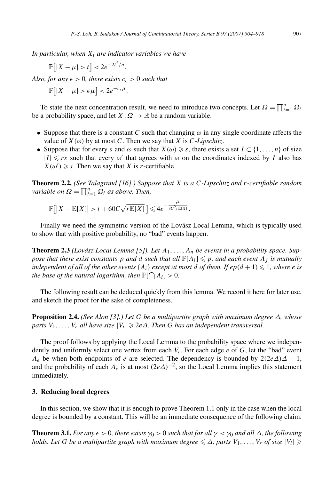*In particular, when Xi are indicator variables we have*

 $\mathbb{P}[|X - \mu| > t] < 2e^{-2t^2/n}.$ 

*Also, for any*  $\epsilon > 0$ *, there exists*  $c_{\epsilon} > 0$  *such that* 

$$
\mathbb{P}[|X - \mu| > \epsilon \mu] < 2e^{-c_{\epsilon}\mu}.
$$

To state the next concentration result, we need to introduce two concepts. Let  $\Omega = \prod_{i=1}^{n} \Omega_i$ be a probability space, and let  $X: \Omega \to \mathbb{R}$  be a random variable.

- Suppose that there is a constant *C* such that changing  $\omega$  in any single coordinate affects the value of  $X(\omega)$  by at most *C*. Then we say that *X* is *C-Lipschitz*.
- Suppose that for every *s* and  $\omega$  such that  $X(\omega) \geq s$ , there exists a set  $I \subset \{1, ..., n\}$  of size  $|I| \leq rs$  such that every  $\omega'$  that agrees with  $\omega$  on the coordinates indexed by *I* also has  $X(\omega') \geq s$ . Then we say that *X* is *r*-certifiable.

**Theorem 2.2.** *(See Talagrand [16].) Suppose that X is a C-Lipschitz and r-certifiable random variable on*  $\Omega = \prod_{i=1}^{n} \Omega_i$  *as above. Then,* 

$$
\mathbb{P}\big[\big|X-\mathbb{E}[X]\big|>t+60C\sqrt{r\mathbb{E}[X]}\big]\leq 4e^{-\frac{t^2}{8C^2r\mathbb{E}[X]}}.
$$

Finally we need the symmetric version of the Lovász Local Lemma, which is typically used to show that with positive probability, no "bad" events happen.

**Theorem 2.3** *(Lovász Local Lemma [5]). Let A*1*,...,An be events in a probability space. Suppose that there exist constants p and d such that all*  $\mathbb{P}[A_i] \leq p$ *, and each event*  $A_j$  *is mutually independent of all of the other events*  $\{A_i\}$  *except at most d of them. If*  $ep(d+1) \leq 1$ *, where e is the base of the natural logarithm, then*  $\mathbb{P}[\bigcap \overline{A_i}] > 0$ *.* 

The following result can be deduced quickly from this lemma. We record it here for later use, and sketch the proof for the sake of completeness.

**Proposition 2.4.** *(See Alon [3].) Let G be a multipartite graph with maximum degree Δ, whose parts*  $V_1$ ,...,  $V_r$  *all have size*  $|V_i|$  ≥ 2*e*Δ. Then *G has an independent transversal.* 

The proof follows by applying the Local Lemma to the probability space where we independently and uniformly select one vertex from each *Vi*. For each edge *e* of *G*, let the "bad" event *A<sub>e</sub>* be when both endpoints of *e* are selected. The dependency is bounded by  $2(2e\Delta)\Delta - 1$ , and the probability of each  $A_e$  is at most  $(2e\Delta)^{-2}$ , so the Local Lemma implies this statement immediately.

## **3. Reducing local degrees**

In this section, we show that it is enough to prove Theorem 1.1 only in the case when the local degree is bounded by a constant. This will be an immediate consequence of the following claim.

**Theorem 3.1.** *For any*  $\epsilon > 0$ , *there exists*  $\gamma_0 > 0$  *such that for all*  $\gamma < \gamma_0$  *and all*  $\Delta$ *, the following holds. Let G be a multipartite graph with maximum degree*  $\leq \Delta$ *, parts*  $V_1, \ldots, V_r$  *of size*  $|V_i| \geq$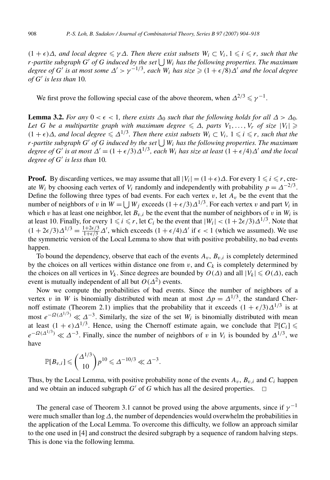$(1 + \epsilon)\Delta$ *, and local degree*  $\leq \gamma \Delta$ *. Then there exist subsets*  $W_i \subset V_i$ ,  $1 \leq i \leq r$ *, such that the r-partite subgraph G' of G induced by the set*  $\bigcup W_i$  *has the following properties. The maximum degree of*  $G'$  *is at most some*  $\Delta' > \gamma^{-1/3}$ *, each*  $W_i$  *has size*  $\geqslant (1 + \epsilon/8)\Delta'$  *and the local degree*  $of G'$  *is less than* 10*.* 

We first prove the following special case of the above theorem, when  $\Delta^{2/3} \le \gamma^{-1}$ .

**Lemma 3.2.** *For any*  $0 \lt \epsilon \lt 1$ *, there exists*  $\Delta_0$  *such that the following holds for all*  $\Delta > \Delta_0$ *. Let G be a multipartite graph with maximum degree*  $\leq \Delta$ , parts  $V_1, \ldots, V_r$  of size  $|V_i| \geq$  $(1 + \epsilon)\Delta$ *, and local degree*  $\leq \Delta^{1/3}$ *. Then there exist subsets*  $W_i \subset V_i$ ,  $1 \leq i \leq r$ *, such that the r-partite subgraph*  $G'$  *of*  $G$  *induced by the set*  $\bigcup W_i$  *has the following properties. The maximum degree of G*<sup>'</sup> *is at most*  $\Delta' = (1 + \epsilon/3) \Delta^{1/3}$ *, each W<sub>i</sub> has size at least*  $(1 + \epsilon/4) \Delta'$  *and the local degree of*  $G'$  *is less than* 10*.* 

**Proof.** By discarding vertices, we may assume that all  $|V_i| = (1 + \epsilon)\Delta$ . For every  $1 \le i \le r$ , create *W<sub>i</sub>* by choosing each vertex of *V<sub>i</sub>* randomly and independently with probability  $p = \Delta^{-2/3}$ . Define the following three types of bad events. For each vertex  $v$ , let  $A_v$  be the event that the number of neighbors of *v* in  $W = \bigcup W_j$  exceeds  $(1 + \epsilon/3) \Delta^{1/3}$ . For each vertex *v* and part  $V_i$  in which *v* has at least one neighbor, let  $B_{v,i}$  be the event that the number of neighbors of *v* in  $W_i$  is at least 10. Finally, for every  $1 \le i \le r$ , let  $C_i$  be the event that  $|W_i| < (1 + 2\epsilon/3)\Delta^{1/3}$ . Note that  $(1 + 2\epsilon/3)\Delta^{1/3} = \frac{1+2\epsilon/3}{1+\epsilon/3}\Delta'$ , which exceeds  $(1 + \epsilon/4)\Delta'$  if  $\epsilon < 1$  (which we assumed). We use the symmetric version of the Local Lemma to show that with positive probability, no bad events happen.

To bound the dependency, observe that each of the events  $A_v$ ,  $B_{v,i}$  is completely determined by the choices on all vertices within distance one from  $v$ , and  $C_k$  is completely determined by the choices on all vertices in  $V_k$ . Since degrees are bounded by  $O(\Delta)$  and all  $|V_k| \leqslant O(\Delta)$ , each event is mutually independent of all but  $O(\Delta^2)$  events.

Now we compute the probabilities of bad events. Since the number of neighbors of a vertex *v* in *W* is binomially distributed with mean at most  $\Delta p = \Delta^{1/3}$ , the standard Chernoff estimate (Theorem 2.1) implies that the probability that it exceeds  $(1 + \epsilon/3)\Delta^{1/3}$  is at most  $e^{-\Omega(\Delta^{1/3})} \ll \Delta^{-3}$ . Similarly, the size of the set  $W_i$  is binomially distributed with mean at least  $(1 + \epsilon)\Delta^{1/3}$ . Hence, using the Chernoff estimate again, we conclude that  $\mathbb{P}[C_i] \le$  $e^{-\Omega(\Delta^{1/3})} \ll \Delta^{-3}$ . Finally, since the number of neighbors of *v* in *V<sub>i</sub>* is bounded by  $\Delta^{1/3}$ , we have

$$
\mathbb{P}[B_{v,i}] \leqslant {\binom{\Delta^{1/3}}{10}} p^{10} \leqslant \Delta^{-10/3} \ll \Delta^{-3}.
$$

Thus, by the Local Lemma, with positive probability none of the events  $A_v$ ,  $B_v$ , *and*  $C_i$  happen and we obtain an induced subgraph  $G'$  of  $G$  which has all the desired properties.  $\Box$ 

The general case of Theorem 3.1 cannot be proved using the above arguments, since if  $\gamma^{-1}$ were much smaller than log*Δ*, the number of dependencies would overwhelm the probabilities in the application of the Local Lemma. To overcome this difficulty, we follow an approach similar to the one used in [4] and construct the desired subgraph by a sequence of random halving steps. This is done via the following lemma.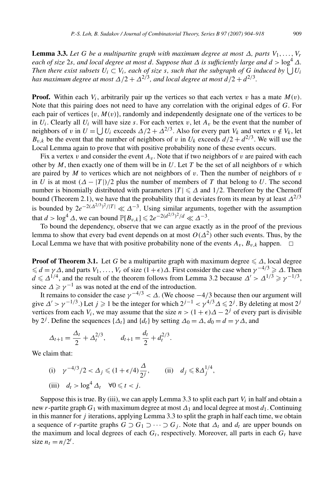**Lemma 3.3.** Let G be a multipartite graph with maximum degree at most  $\Delta$ , parts  $V_1, \ldots, V_r$ *each of size* 2*s, and local degree at most d. Suppose that*  $\Delta$  *is sufficiently large and*  $d > \log^4 \Delta$ *. Then there exist subsets*  $U_i \subset V_i$ *, each of size s, such that the subgraph of G induced by*  $\bigcup U_i$ *has maximum degree at most*  $\Delta/2 + \Delta^{2/3}$ *, and local degree at most*  $d/2 + d^{2/3}$ *.* 

**Proof.** Within each  $V_i$ , arbitrarily pair up the vertices so that each vertex *v* has a mate  $M(v)$ . Note that this pairing does not need to have any correlation with the original edges of *G*. For each pair of vertices  $\{v, M(v)\}$ , randomly and independently designate one of the vertices to be in  $U_i$ . Clearly all  $U_i$  will have size *s*. For each vertex *v*, let  $A_v$  be the event that the number of neighbors of *v* in  $U = \bigcup U_i$  exceeds  $\Delta/2 + \Delta^{2/3}$ . Also for every part  $V_k$  and vertex  $v \notin V_k$ , let  $B_{v,k}$  be the event that the number of neighbors of *v* in  $U_k$  exceeds  $d/2 + d^{2/3}$ . We will use the Local Lemma again to prove that with positive probability none of these events occurs.

Fix a vertex *v* and consider the event  $A<sub>v</sub>$ . Note that if two neighbors of *v* are paired with each other by  $M$ , then exactly one of them will be in  $U$ . Let  $T$  be the set of all neighbors of  $v$  which are paired by  $M$  to vertices which are not neighbors of  $v$ . Then the number of neighbors of  $v$ in *U* is at most  $(A - |T|)/2$  plus the number of members of *T* that belong to *U*. The second number is binomially distributed with parameters  $|T| \leq \Delta$  and  $1/2$ . Therefore by the Chernoff bound (Theorem 2.1), we have that the probability that it deviates from its mean by at least  $\Delta^{2/3}$ is bounded by  $2e^{-2(\Delta^{2/3})^2/|T|} \ll \Delta^{-3}$ . Using similar arguments, together with the assumption that  $d > \log^4 \Delta$ , we can bound  $\mathbb{P}[B_{v,k}] \leq 2e^{-2(d^{2/3})^2/d} \ll \Delta^{-3}$ .

To bound the dependency, observe that we can argue exactly as in the proof of the previous lemma to show that every bad event depends on at most  $O(\Delta^2)$  other such events. Thus, by the Local Lemma we have that with positive probability none of the events  $A_v$ ,  $B_v$ <sub>k</sub> happen.  $\Box$ 

**Proof of Theorem 3.1.** Let G be a multipartite graph with maximum degree  $\leq \Delta$ , local degree  $\le d = \gamma \Delta$ , and parts  $V_1, \ldots, V_r$  of size  $(1 + \epsilon) \Delta$ . First consider the case when  $\gamma^{-4/3} \ge \Delta$ . Then  $d \le \Delta^{1/4}$ , and the result of the theorem follows from Lemma 3.2 because  $\Delta' > \Delta^{1/3} \ge \gamma^{-1/3}$ , since  $\Delta \ge \gamma^{-1}$  as was noted at the end of the introduction.

It remains to consider the case  $\gamma^{-4/3} < \Delta$ . (We choose  $-4/3$  because then our argument will give  $\Delta' > \gamma^{-1/3}$ .) Let  $j \geqslant 1$  be the integer for which  $2^{j-1} < \gamma^{4/3} \Delta \leqslant 2^j$ . By deleting at most  $2^j$ vertices from each  $V_i$ , we may assume that the size  $n>(1+\epsilon)\Delta-2^j$  of every part is divisible by 2<sup>*j*</sup>. Define the sequences { $\Delta_t$ } and { $d_t$ } by setting  $\Delta_0 = \Delta$ ,  $d_0 = d = \gamma \Delta$ , and

$$
\Delta_{t+1} = \frac{\Delta_t}{2} + \Delta_t^{2/3}, \qquad d_{t+1} = \frac{d_t}{2} + d_t^{2/3}.
$$

We claim that:

(i)  $\gamma^{-4/3}/2 < \Delta_j \le (1 + \epsilon/4) \frac{\Delta}{2^j}$ , (ii)  $d_j \le 8 \Delta_j^{1/4}$ , (iii)  $d_t > \log^4 \Delta_t \quad \forall 0 \leq t < j.$ 

Suppose this is true. By (iii), we can apply Lemma 3.3 to split each part  $V_i$  in half and obtain a new *r*-partite graph  $G_1$  with maximum degree at most  $\Delta_1$  and local degree at most  $d_1$ . Continuing in this manner for *j* iterations, applying Lemma 3.3 to split the graph in half each time, we obtain a sequence of *r*-partite graphs  $G \supset G_1 \supset \cdots \supset G_j$ . Note that  $\Delta_t$  and  $d_t$  are upper bounds on the maximum and local degrees of each  $G_t$ , respectively. Moreover, all parts in each  $G_t$  have size  $n_t = n/2^t$ .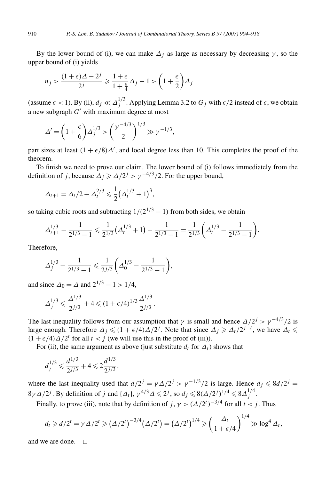By the lower bound of (i), we can make  $\Delta_i$  as large as necessary by decreasing  $\gamma$ , so the upper bound of (i) yields

$$
n_j > \frac{(1+\epsilon)\Delta - 2^j}{2^j} \ge \frac{1+\epsilon}{1+\frac{\epsilon}{4}}\Delta_j - 1 > \left(1 + \frac{\epsilon}{2}\right)\Delta_j
$$

(assume  $\epsilon$  < 1). By (ii),  $d_j \ll \Delta_j^{1/3}$ . Applying Lemma 3.2 to  $G_j$  with  $\epsilon/2$  instead of  $\epsilon$ , we obtain a new subgraph  $G'$  with maximum degree at most

$$
\Delta' = \left(1 + \frac{\epsilon}{6}\right)\Delta_j^{1/3} > \left(\frac{\gamma^{-4/3}}{2}\right)^{1/3} \gg \gamma^{-1/3},
$$

part sizes at least  $(1 + \epsilon/8)\Delta'$ , and local degree less than 10. This completes the proof of the theorem.

To finish we need to prove our claim. The lower bound of (i) follows immediately from the definition of *j*, because  $\Delta_j \ge \frac{\Delta}{2^j} > \gamma^{-4/3}/2$ . For the upper bound,

$$
\Delta_{t+1} = \Delta_t/2 + \Delta_t^{2/3} \leq \frac{1}{2} (\Delta_t^{1/3} + 1)^3,
$$

so taking cubic roots and subtracting  $1/(2^{1/3} - 1)$  from both sides, we obtain

$$
\Delta_{t+1}^{1/3} - \frac{1}{2^{1/3} - 1} \leq \frac{1}{2^{1/3}} \left( \Delta_t^{1/3} + 1 \right) - \frac{1}{2^{1/3} - 1} = \frac{1}{2^{1/3}} \left( \Delta_t^{1/3} - \frac{1}{2^{1/3} - 1} \right).
$$

Therefore,

$$
\Delta_j^{1/3} - \frac{1}{2^{1/3} - 1} \leq \frac{1}{2^{j/3}} \left( \Delta_0^{1/3} - \frac{1}{2^{1/3} - 1} \right),\,
$$

and since  $\Delta_0 = \Delta$  and  $2^{1/3} - 1 > 1/4$ ,

$$
\Delta_j^{1/3} \leqslant \frac{\Delta^{1/3}}{2^{j/3}} + 4 \leqslant (1 + \epsilon/4)^{1/3} \frac{\Delta^{1/3}}{2^{j/3}}.
$$

The last inequality follows from our assumption that *γ* is small and hence  $\Delta/2^j$  >  $\gamma^{-4/3}/2$  is large enough. Therefore  $\Delta_j \leq (1 + \epsilon/4) \Delta/2^j$ . Note that since  $\Delta_j \geq \Delta_t/2^{j-t}$ , we have  $\Delta_t \leq$  $(1 + \epsilon/4) \Delta/2^t$  for all  $t < j$  (we will use this in the proof of (iii)).

For (ii), the same argument as above (just substitute  $d_t$  for  $\Delta_t$ ) shows that

$$
d_j^{1/3}\leq \frac{d^{1/3}}{2^{j/3}}+4\leq 2\frac{d^{1/3}}{2^{j/3}},
$$

where the last inequality used that  $d/2^j = \gamma \Delta/2^j > \gamma^{-1/3}/2$  is large. Hence  $d_j \le 8d/2^j =$  $8\gamma\Delta/2^j$ . By definition of *j* and  $\{\Delta_t\}$ ,  $\gamma^{4/3}\Delta \leq 2^j$ , so  $d_j \leq 8(\Delta/2^j)^{1/4} \leq 8\Delta_j^{1/4}$ .

Finally, to prove (iii), note that by definition of  $j, \gamma > (\Delta/2^t)^{-3/4}$  for all  $t < j$ . Thus

$$
d_t \geq d/2^t = \gamma \Delta/2^t \geq (\Delta/2^t)^{-3/4} (\Delta/2^t) = (\Delta/2^t)^{1/4} \geq \left(\frac{\Delta_t}{1+\epsilon/4}\right)^{1/4} \geq \log^4 \Delta_t,
$$

and we are done.  $\square$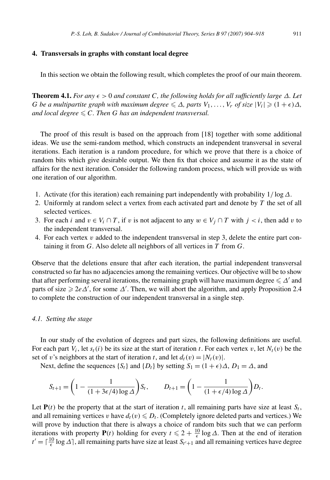#### **4. Transversals in graphs with constant local degree**

In this section we obtain the following result, which completes the proof of our main theorem.

**Theorem 4.1.** *For any*  $\epsilon > 0$  *and constant C, the following holds for all sufficiently large*  $\Delta$ *. Let G be a multipartite graph with maximum degree*  $\leq \Delta$ , parts  $V_1, \ldots, V_r$  of size  $|V_i| \geq (1 + \epsilon)\Delta$ , *and local degree*  $\leq C$ *. Then G has an independent transversal.* 

The proof of this result is based on the approach from [18] together with some additional ideas. We use the semi-random method, which constructs an independent transversal in several iterations. Each iteration is a random procedure, for which we prove that there is a choice of random bits which give desirable output. We then fix that choice and assume it as the state of affairs for the next iteration. Consider the following random process, which will provide us with one iteration of our algorithm.

- 1. Activate (for this iteration) each remaining part independently with probability 1*/* log*Δ*.
- 2. Uniformly at random select a vertex from each activated part and denote by *T* the set of all selected vertices.
- 3. For each *i* and  $v \in V_i \cap T$ , if *v* is not adjacent to any  $w \in V_j \cap T$  with  $j < i$ , then add *v* to the independent transversal.
- 4. For each vertex  $v$  added to the independent transversal in step 3, delete the entire part containing it from *G*. Also delete all neighbors of all vertices in *T* from *G*.

Observe that the deletions ensure that after each iteration, the partial independent transversal constructed so far has no adjacencies among the remaining vertices. Our objective will be to show that after performing several iterations, the remaining graph will have maximum degree  $\leq \Delta'$  and parts of size  $\geq 2e\Delta'$ , for some  $\Delta'$ . Then, we will abort the algorithm, and apply Proposition 2.4 to complete the construction of our independent transversal in a single step.

#### *4.1. Setting the stage*

In our study of the evolution of degrees and part sizes, the following definitions are useful. For each part  $V_i$ , let  $s_t(i)$  be its size at the start of iteration *t*. For each vertex *v*, let  $N_t(v)$  be the set of *v*'s neighbors at the start of iteration *t*, and let  $d_t(v) = |N_t(v)|$ .

Next, define the sequences  $\{S_t\}$  and  $\{D_t\}$  by setting  $S_1 = (1 + \epsilon)\Delta$ ,  $D_1 = \Delta$ , and

$$
S_{t+1} = \left(1 - \frac{1}{(1 + 3\epsilon/4) \log \Delta}\right) S_t, \qquad D_{t+1} = \left(1 - \frac{1}{(1 + \epsilon/4) \log \Delta}\right) D_t.
$$

Let  $P(t)$  be the property that at the start of iteration *t*, all remaining parts have size at least  $S_t$ , and all remaining vertices *v* have  $d_t(v) \le D_t$ . (Completely ignore deleted parts and vertices.) We will prove by induction that there is always a choice of random bits such that we can perform iterations with property **P***(t)* holding for every  $t \leq 2 + \frac{10}{\epsilon} \log \Delta$ . Then at the end of iteration  $t' = \lceil \frac{10}{\epsilon} \log \Delta \rceil$ , all remaining parts have size at least  $S_{t'+1}$  and all remaining vertices have degree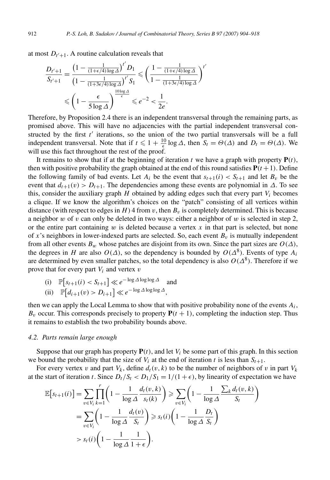at most  $D_{t'+1}$ . A routine calculation reveals that

$$
\frac{D_{t'+1}}{S_{t'+1}} = \frac{\left(1 - \frac{1}{(1+\epsilon/4)\log\Delta}\right)^{t'} D_1}{\left(1 - \frac{1}{(1+3\epsilon/4)\log\Delta}\right)^{t'} S_1} \leq \left(\frac{1 - \frac{1}{(1+\epsilon/4)\log\Delta}}{1 - \frac{1}{(1+3\epsilon/4)\log\Delta}}\right)^{t'}
$$

$$
\leq \left(1 - \frac{\epsilon}{5\log\Delta}\right)^{\frac{10\log\Delta}{\epsilon}} \leq e^{-2} < \frac{1}{2e}.
$$

Therefore, by Proposition 2.4 there is an independent transversal through the remaining parts, as promised above. This will have no adjacencies with the partial independent transversal constructed by the first  $t'$  iterations, so the union of the two partial transversals will be a full independent transversal. Note that if  $t \leq 1 + \frac{10}{5} \log \Delta$ , then  $S_t = \Theta(\Delta)$  and  $D_t = \Theta(\Delta)$ . We will use this fact throughout the rest of the proof.

It remains to show that if at the beginning of iteration *t* we have a graph with property  $P(t)$ , then with positive probability the graph obtained at the end of this round satisfies  $P(t+1)$ . Define the following family of bad events. Let  $A_i$  be the event that  $s_{t+1}(i) < S_{t+1}$  and let  $B_v$  be the event that  $d_{t+1}(v) > D_{t+1}$ . The dependencies among these events are polynomial in  $\Delta$ . To see this, consider the auxiliary graph  $H$  obtained by adding edges such that every part  $V_i$  becomes a clique. If we know the algorithm's choices on the "patch" consisting of all vertices within distance (with respect to edges in  $H$ ) 4 from *v*, then  $B<sub>v</sub>$  is completely determined. This is because a neighbor *w* of *v* can only be deleted in two ways: either a neighbor of *w* is selected in step 2, or the entire part containing  $w$  is deleted because a vertex  $x$  in that part is selected, but none of x's neighbors in lower-indexed parts are selected. So, each event  $B<sub>v</sub>$  is mutually independent from all other events  $B_w$  whose patches are disjoint from its own. Since the part sizes are  $O(\Delta)$ , the degrees in *H* are also  $O(\Delta)$ , so the dependency is bounded by  $O(\Delta^8)$ . Events of type  $A_i$ are determined by even smaller patches, so the total dependency is also  $O(\Delta^8)$ . Therefore if we prove that for every part *Vi* and vertex *v*

(i) 
$$
\mathbb{P}[s_{t+1}(i) < S_{t+1}] \ll e^{-\log \Delta \log \log \Delta}
$$
 and

(ii) 
$$
\mathbb{P}[d_{i+1}(v) > D_{i+1}] \ll e^{-\log \Delta \log \log \Delta},
$$

then we can apply the Local Lemma to show that with positive probability none of the events  $A_i$ ,  $B_v$  occur. This corresponds precisely to property  $P(t + 1)$ , completing the induction step. Thus it remains to establish the two probability bounds above.

#### *4.2. Parts remain large enough*

Suppose that our graph has property  $P(t)$ , and let  $V_i$  be some part of this graph. In this section we bound the probability that the size of  $V_i$  at the end of iteration t is less than  $S_{t+1}$ .

For every vertex *v* and part  $V_k$ , define  $d_t(v, k)$  to be the number of neighbors of *v* in part  $V_k$ at the start of iteration *t*. Since  $D_t/S_t < D_1/S_1 = 1/(1+\epsilon)$ , by linearity of expectation we have

$$
\mathbb{E}\left[s_{t+1}(i)\right] = \sum_{v \in V_i} \prod_{k=1}^r \left(1 - \frac{1}{\log A} \frac{d_t(v, k)}{s_t(k)}\right) \ge \sum_{v \in V_i} \left(1 - \frac{1}{\log A} \frac{\sum_k d_t(v, k)}{S_t}\right)
$$

$$
= \sum_{v \in V_i} \left(1 - \frac{1}{\log A} \frac{d_t(v)}{S_t}\right) \ge s_t(i) \left(1 - \frac{1}{\log A} \frac{D_t}{S_t}\right)
$$

$$
> s_t(i) \left(1 - \frac{1}{\log A} \frac{1}{1 + \epsilon}\right).
$$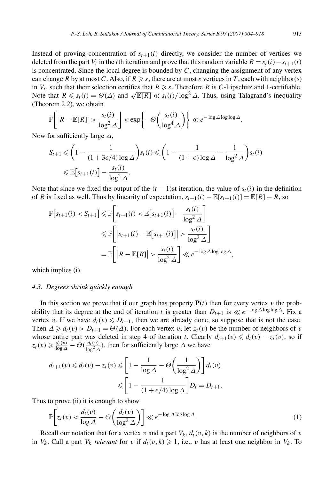Instead of proving concentration of  $s_{t+1}(i)$  directly, we consider the number of vertices we deleted from the part *V<sub>i</sub>* in the *t*th iteration and prove that this random variable  $R = s_t(i) - s_{t+1}(i)$ is concentrated. Since the local degree is bounded by *C*, changing the assignment of any vertex can change *R* by at most *C*. Also, if  $R \geq s$ , there are at most *s* vertices in *T*, each with neighbor(s) in  $V_i$ , such that their selection certifies that  $R \geq s$ . Therefore *R* is *C*-Lipschitz and 1-certifiable. In  $v_i$ , such that their selection certifies that  $\kappa \geqslant s$ . Therefore  $\kappa$  is C-Lipschitz and T-certifiable.<br>Note that  $R \leqslant s_i(i) = \Theta(\Delta)$  and  $\sqrt{\mathbb{E}[R]} \ll s_i(i)/\log^2 \Delta$ . Thus, using Talagrand's inequality (Theorem 2.2), we obtain

$$
\mathbb{P}\bigg[ \big| R - \mathbb{E}[R] \big| > \frac{s_t(i)}{\log^2 \Delta} \bigg] < \exp\bigg\{-\Theta\bigg(\frac{s_t(i)}{\log^4 \Delta}\bigg) \bigg\} \ll e^{-\log \Delta \log \log \Delta}.
$$

Now for sufficiently large *Δ*,

$$
S_{t+1} \leqslant \left(1 - \frac{1}{(1 + 3\epsilon/4) \log \Delta}\right) s_t(i) \leqslant \left(1 - \frac{1}{(1 + \epsilon) \log \Delta} - \frac{1}{\log^2 \Delta}\right) s_t(i)
$$
  

$$
\leqslant \mathbb{E}\left[s_{t+1}(i)\right] - \frac{s_t(i)}{\log^2 \Delta}.
$$

Note that since we fixed the output of the  $(t-1)$ st iteration, the value of  $s_t(i)$  in the definition of *R* is fixed as well. Thus by linearity of expectation,  $s_{t+1}(i) - \mathbb{E}[s_{t+1}(i)] = \mathbb{E}[R] - R$ , so

$$
\mathbb{P}[s_{t+1}(i) < S_{t+1}] \leq \mathbb{P}\left[s_{t+1}(i) < \mathbb{E}[s_{t+1}(i)] - \frac{s_t(i)}{\log^2 \Delta}\right] \\
\leq \mathbb{P}\left[\left|s_{t+1}(i) - \mathbb{E}[s_{t+1}(i)]\right| > \frac{s_t(i)}{\log^2 \Delta}\right] \\
= \mathbb{P}\left[\left|R - \mathbb{E}[R]\right| > \frac{s_t(i)}{\log^2 \Delta}\right] \ll e^{-\log \Delta \log \log \Delta},
$$

which implies (i).

## *4.3. Degrees shrink quickly enough*

In this section we prove that if our graph has property  $P(t)$  then for every vertex *v* the probability that its degree at the end of iteration *t* is greater than  $D_{t+1}$  is  $\ll e^{-\log \Delta \log \log \Delta}$ . Fix a vertex *v*. If we have  $d_t(v) \leq D_{t+1}$ , then we are already done, so suppose that is not the case. Then  $\Delta \geq d_t(v) > D_{t+1} = \Theta(\Delta)$ . For each vertex *v*, let  $z_t(v)$  be the number of neighbors of *v* whose entire part was deleted in step 4 of iteration *t*. Clearly  $d_{t+1}(v) \le d_t(v) - z_t(v)$ , so if  $z_t(v) \geq \frac{d_t(v)}{\log \Delta} - \Theta(\frac{d_t(v)}{\log^2 \Delta})$ , then for sufficiently large  $\Delta$  we have

$$
d_{t+1}(v) \le d_t(v) - z_t(v) \le \left[1 - \frac{1}{\log \Delta} - \Theta\left(\frac{1}{\log^2 \Delta}\right)\right] d_t(v)
$$
  

$$
\le \left[1 - \frac{1}{(1 + \epsilon/4) \log \Delta}\right] D_t = D_{t+1}.
$$

Thus to prove (ii) it is enough to show

$$
\mathbb{P}\bigg[z_t(v) < \frac{d_t(v)}{\log \Delta} - \Theta\bigg(\frac{d_t(v)}{\log^2 \Delta}\bigg)\bigg] \ll e^{-\log \Delta \log \log \Delta}.\tag{1}
$$

Recall our notation that for a vertex *v* and a part  $V_k$ ,  $d_t(v, k)$  is the number of neighbors of *v* in *V<sub>k</sub>*. Call a part *V<sub>k</sub> relevant* for *v* if  $d_t(v, k) \ge 1$ , i.e., *v* has at least one neighbor in *V<sub>k</sub>*. To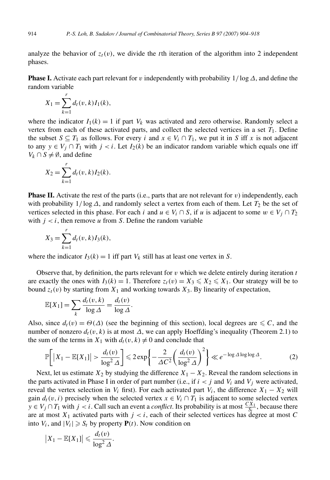analyze the behavior of  $z_t(v)$ , we divide the *t*th iteration of the algorithm into 2 independent phases.

**Phase I.** Activate each part relevant for *v* independently with probability 1*/* log*Δ*, and define the random variable

$$
X_1 = \sum_{k=1}^r d_t(v, k) I_1(k),
$$

where the indicator  $I_1(k) = 1$  if part  $V_k$  was activated and zero otherwise. Randomly select a vertex from each of these activated parts, and collect the selected vertices in a set *T*1. Define the subset  $S \subseteq T_1$  as follows. For every *i* and  $x \in V_i \cap T_1$ , we put it in *S* iff *x* is not adjacent to any  $y \in V_i \cap T_1$  with  $j < i$ . Let  $I_2(k)$  be an indicator random variable which equals one iff *V<sub>k</sub>* ∩ *S*  $\neq$  Ø, and define

$$
X_2 = \sum_{k=1}^r d_t(v, k) I_2(k).
$$

**Phase II.** Activate the rest of the parts (i.e., parts that are not relevant for *v*) independently, each with probability  $1/\log \Delta$ , and randomly select a vertex from each of them. Let  $T_2$  be the set of vertices selected in this phase. For each *i* and  $u \in V_i \cap S$ , if *u* is adjacent to some  $w \in V_i \cap T_2$ with  $j < i$ , then remove *u* from *S*. Define the random variable

$$
X_3 = \sum_{k=1}^r d_t(v, k) I_3(k),
$$

where the indicator  $I_3(k) = 1$  iff part  $V_k$  still has at least one vertex in *S*.

Observe that, by definition, the parts relevant for  $v$  which we delete entirely during iteration  $t$ are exactly the ones with  $I_3(k) = 1$ . Therefore  $z_t(v) = X_3 \leq X_2 \leq X_1$ . Our strategy will be to bound  $z_t(v)$  by starting from  $X_1$  and working towards  $X_3$ . By linearity of expectation,

$$
\mathbb{E}[X_1] = \sum_k \frac{d_t(v, k)}{\log \Delta} = \frac{d_t(v)}{\log \Delta}.
$$

Also, since  $d_t(v) = \Theta(\Delta)$  (see the beginning of this section), local degrees are  $\leq C$ , and the number of nonzero  $d_t(v, k)$  is at most  $\Delta$ , we can apply Hoeffding's inequality (Theorem 2.1) to the sum of the terms in  $X_1$  with  $d_t(v, k) \neq 0$  and conclude that

$$
\mathbb{P}\bigg[|X_1 - \mathbb{E}[X_1]| > \frac{d_t(v)}{\log^2 \Delta}\bigg] \leqslant 2\exp\bigg\{-\frac{2}{\Delta C^2} \bigg(\frac{d_t(v)}{\log^2 \Delta}\bigg)^2\bigg\} \ll e^{-\log \Delta \log \log \Delta}.\tag{2}
$$

Next, let us estimate  $X_2$  by studying the difference  $X_1 - X_2$ . Reveal the random selections in the parts activated in Phase I in order of part number (i.e., if  $i < j$  and  $V_i$  and  $V_j$  were activated, reveal the vertex selection in  $V_i$  first). For each activated part  $V_i$ , the difference  $X_1 - X_2$  will gain  $d_t(v, i)$  precisely when the selected vertex  $x \in V_i \cap T_1$  is adjacent to some selected vertex  $y \in V_j \cap T_1$  with  $j < i$ . Call such an event a *conflict*. Its probability is at most  $\frac{CX_1}{S_f}$ , because there are at most  $X_1$  activated parts with  $j < i$ , each of their selected vertices has degree at most C into  $V_i$ , and  $|V_i| \ge S_t$  by property  $P(t)$ . Now condition on

$$
|X_1 - \mathbb{E}[X_1]| \leqslant \frac{d_t(v)}{\log^2 \Delta}.
$$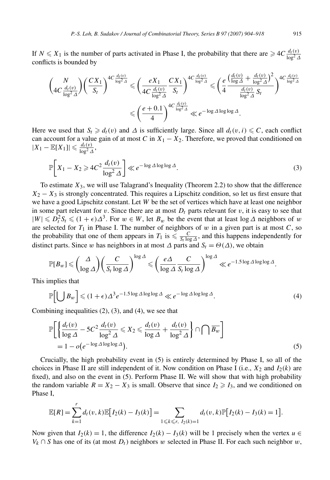If  $N \leq X_1$  is the number of parts activated in Phase I, the probability that there are  $\geqslant 4C \frac{d_t(v)}{\log^2 \Delta}$ conflicts is bounded by

$$
\begin{aligned}\n&\left(\frac{N}{4C\frac{d_t(v)}{\log^2\Delta}}\right) \left(\frac{CX_1}{S_t}\right)^{4C\frac{d_t(v)}{\log^2\Delta}} &\leq \left(\frac{eX_1}{4C\frac{d_t(v)}{\log^2\Delta}}\frac{CX_1}{S_t}\right)^{4C\frac{d_t(v)}{\log^2\Delta}} &\leq \left(\frac{e}{4}\frac{\left(\frac{d_t(v)}{\log\Delta} + \frac{d_t(v)}{\log^2\Delta}\right)^2}{\frac{d_t(v)}{\log^2\Delta}S_t}\right)^{4C\frac{d_t(v)}{\log^2\Delta}} \\
&\leq \left(\frac{e+0.1}{4}\right)^{4C\frac{d_t(v)}{\log^2\Delta}} &\leq e^{-\log\Delta\log\log\Delta}.\n\end{aligned}
$$

Here we used that  $S_t \ge d_t(v)$  and  $\Delta$  is sufficiently large. Since all  $d_t(v, i) \le C$ , each conflict can account for a value gain of at most *C* in  $X_1 - X_2$ . Therefore, we proved that conditioned on  $|X_1 - \mathbb{E}[X_1]| \leqslant \frac{d_t(v)}{\log^2 \Delta},$ 

$$
\mathbb{P}\bigg[X_1 - X_2 \ge 4C^2 \frac{d_t(v)}{\log^2 \Delta}\bigg] \ll e^{-\log \Delta \log \log \Delta}.
$$
\n(3)

To estimate *X*3, we will use Talagrand's Inequality (Theorem 2.2) to show that the difference  $X_2 - X_3$  is strongly concentrated. This requires a Lipschitz condition, so let us first ensure that we have a good Lipschitz constant. Let *W* be the set of vertices which have at least one neighbor in some part relevant for *v*. Since there are at most  $D_t$  parts relevant for *v*, it is easy to see that  $|W| \leq D_t^2 S_t \leq (1+\epsilon)\Delta^3$ . For  $w \in W$ , let  $B_w$  be the event that at least log  $\Delta$  neighbors of  $w$ are selected for  $T_1$  in Phase I. The number of neighbors of  $w$  in a given part is at most  $C$ , so the probability that one of them appears in  $T_1$  is  $\leq \frac{C}{S_t \log \Delta}$ , and this happens independently for distinct parts. Since *w* has neighbors in at most  $\Delta$  parts and  $S_t = \Theta(\Delta)$ , we obtain

$$
\mathbb{P}[B_w] \leqslant \binom{\Delta}{\log \Delta} \left( \frac{C}{S_t \log \Delta} \right)^{\log \Delta} \leqslant \left( \frac{e\Delta}{\log \Delta} \frac{C}{S_t \log \Delta} \right)^{\log \Delta} \ll e^{-1.5 \log \Delta \log \log \Delta}.
$$

This implies that

$$
\mathbb{P}\Big[\bigcup B_w\Big] \leqslant (1+\epsilon)\Delta^3 e^{-1.5\log\Delta\log\log\Delta} \ll e^{-\log\Delta\log\log\Delta}.
$$
 (4)

Combining inequalities (2), (3), and (4), we see that

$$
\mathbb{P}\bigg[\bigg\{\frac{d_t(v)}{\log\Delta} - 5C^2 \frac{d_t(v)}{\log^2\Delta} \le X_2 \le \frac{d_t(v)}{\log\Delta} + \frac{d_t(v)}{\log^2\Delta}\bigg\} \cap \bigcap \overline{B_w}\bigg] = 1 - o(e^{-\log\Delta\log\log\Delta}).
$$
\n(5)

Crucially, the high probability event in (5) is entirely determined by Phase I, so all of the choices in Phase II are still independent of it. Now condition on Phase I (i.e.,  $X_2$  and  $I_2(k)$  are fixed), and also on the event in (5). Perform Phase II. We will show that with high probability the random variable  $R = X_2 - X_3$  is small. Observe that since  $I_2 \geq I_3$ , and we conditioned on Phase I,

$$
\mathbb{E}[R] = \sum_{k=1}^r d_t(v,k) \mathbb{E}[I_2(k) - I_3(k)] = \sum_{1 \leq k \leq r, I_2(k)=1} d_t(v,k) \mathbb{P}[I_2(k) - I_3(k) = 1].
$$

Now given that  $I_2(k) = 1$ , the difference  $I_2(k) - I_3(k)$  will be 1 precisely when the vertex  $u \in$ *V<sub>k</sub>* ∩ *S* has one of its (at most  $D_t$ ) neighbors *w* selected in Phase II. For each such neighbor *w*,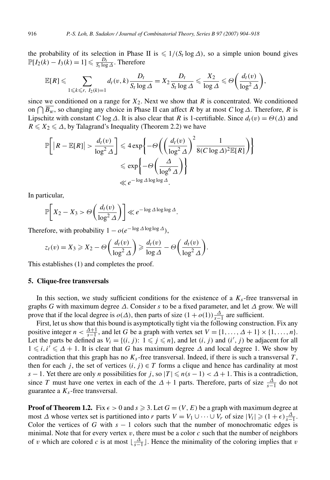the probability of its selection in Phase II is  $\leq 1/(S_t \log \Delta)$ , so a simple union bound gives  $\mathbb{P}[I_2(k) - I_3(k) = 1] \leq \frac{D_t}{S_t \log \Delta}$ . Therefore

$$
\mathbb{E}[R] \leqslant \sum_{1 \leqslant k \leqslant r, \ I_2(k)=1} d_t(v,k) \frac{D_t}{S_t \log \Delta} = X_2 \frac{D_t}{S_t \log \Delta} \leqslant \frac{X_2}{\log \Delta} \leqslant \Theta\left(\frac{d_t(v)}{\log^2 \Delta}\right),
$$

since we conditioned on a range for  $X_2$ . Next we show that *R* is concentrated. We conditioned on *Bw*, so changing any choice in Phase II can affect *R* by at most *C* log*Δ*. Therefore, *R* is Lipschitz with constant *C* log  $\Delta$ . It is also clear that *R* is 1-certifiable. Since  $d_t(v) = \Theta(\Delta)$  and  $R \leq X_2 \leq \Delta$ , by Talagrand's Inequality (Theorem 2.2) we have

$$
\mathbb{P}\bigg[|R - \mathbb{E}[R]| > \frac{d_t(v)}{\log^2 \Delta} \bigg] \le 4 \exp\bigg\{-\Theta\bigg(\bigg(\frac{d_t(v)}{\log^2 \Delta}\bigg)^2 \frac{1}{8(C \log \Delta)^2 \mathbb{E}[R]}\bigg)\bigg\}
$$

$$
\le \exp\bigg\{-\Theta\bigg(\frac{\Delta}{\log^6 \Delta}\bigg)\bigg\}
$$

$$
\le e^{-\log \Delta \log \log \Delta}.
$$

In particular,

$$
\mathbb{P}\bigg[X_2 - X_3 > \Theta\bigg(\frac{d_t(v)}{\log^2 \Delta}\bigg)\bigg] \ll e^{-\log \Delta \log \log \Delta}.
$$

Therefore, with probability  $1 - o(e^{-\log \Delta \log \log \Delta})$ ,

$$
z_t(v) = X_3 \geqslant X_2 - \Theta\left(\frac{d_t(v)}{\log^2 \Delta}\right) \geqslant \frac{d_t(v)}{\log \Delta} - \Theta\left(\frac{d_t(v)}{\log^2 \Delta}\right).
$$

This establishes (1) and completes the proof.

#### **5. Clique-free transversals**

In this section, we study sufficient conditions for the existence of a  $K_s$ -free transversal in graphs *G* with maximum degree *Δ*. Consider *s* to be a fixed parameter, and let *Δ* grow. We will prove that if the local degree is  $o(\Delta)$ , then parts of size  $(1 + o(1)) \frac{\Delta}{s-1}$  are sufficient.

First, let us show that this bound is asymptotically tight via the following construction. Fix any positive integer  $n < \frac{\Delta+1}{s-1}$ , and let *G* be a graph with vertex set  $V = \{1, \ldots, \Delta + 1\} \times \{1, \ldots, n\}.$ Let the parts be defined as  $V_i = \{(i, j): 1 \leq j \leq n\}$ , and let  $(i, j)$  and  $(i', j)$  be adjacent for all  $1 \leq i, i' \leq \Delta + 1$ . It is clear that *G* has maximum degree  $\Delta$  and local degree 1. We show by contradiction that this graph has no  $K<sub>s</sub>$ -free transversal. Indeed, if there is such a transversal *T*, then for each *j*, the set of vertices  $(i, j) \in T$  forms a clique and hence has cardinality at most *s* − 1. Yet there are only *n* possibilities for *j*, so  $|T| \le n(s - 1) < \Delta + 1$ . This is a contradiction, since *T* must have one vertex in each of the  $\Delta + 1$  parts. Therefore, parts of size  $\frac{\Delta}{s-1}$  do not guarantee a  $K_s$ -free transversal.

**Proof of Theorem 1.2.** Fix  $\epsilon > 0$  and  $s \ge 3$ . Let  $G = (V, E)$  be a graph with maximum degree at most  $\Delta$  whose vertex set is partitioned into *r* parts  $V = V_1 \cup \cdots \cup V_r$  of size  $|V_i| \geq (1 + \epsilon) \frac{\Delta}{s-1}$ . Color the vertices of *G* with  $s - 1$  colors such that the number of monochromatic edges is minimal. Note that for every vertex  $v$ , there must be a color  $c$  such that the number of neighbors of *v* which are colored *c* is at most  $\lfloor \frac{\Delta}{s-1} \rfloor$ . Hence the minimality of the coloring implies that *v*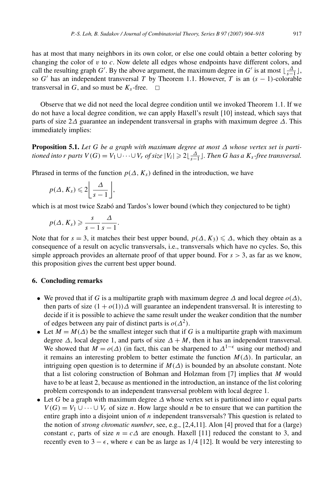has at most that many neighbors in its own color, or else one could obtain a better coloring by changing the color of  $v$  to  $c$ . Now delete all edges whose endpoints have different colors, and call the resulting graph *G*<sup>'</sup>. By the above argument, the maximum degree in *G*<sup>'</sup> is at most  $\lfloor \frac{\Delta}{s-1} \rfloor$ , so  $G'$  has an independent transversal *T* by Theorem 1.1. However, *T* is an  $(s - 1)$ -colorable transversal in *G*, and so must be  $K_s$ -free.  $\Box$ 

Observe that we did not need the local degree condition until we invoked Theorem 1.1. If we do not have a local degree condition, we can apply Haxell's result [10] instead, which says that parts of size 2*Δ* guarantee an independent transversal in graphs with maximum degree *Δ*. This immediately implies:

**Proposition 5.1.** *Let G be a graph with maximum degree at most*  $\Delta$  *whose vertex set is partitioned into r parts*  $V(G) = V_1 \cup \cdots \cup V_r$  *of size*  $|V_i| \geqslant 2\lfloor \frac{\Delta}{s-1} \rfloor$ . Then G has a  $K_s$ -free transversal.

Phrased in terms of the function  $p(\Delta, K_s)$  defined in the introduction, we have

$$
p(\Delta, K_s) \leqslant 2 \left\lfloor \frac{\Delta}{s-1} \right\rfloor,
$$

which is at most twice Szabó and Tardos's lower bound (which they conjectured to be tight)

$$
p(\Delta, K_s) \geqslant \frac{s}{s-1} \frac{\Delta}{s-1}.
$$

Note that for  $s = 3$ , it matches their best upper bound,  $p(\Delta, K_3) \leq \Delta$ , which they obtain as a consequence of a result on acyclic transversals, i.e., transversals which have no cycles. So, this simple approach provides an alternate proof of that upper bound. For  $s > 3$ , as far as we know, this proposition gives the current best upper bound.

## **6. Concluding remarks**

- We proved that if *G* is a multipartite graph with maximum degree  $\Delta$  and local degree  $o(\Delta)$ , then parts of size  $(1 + o(1))\Delta$  will guarantee an independent transversal. It is interesting to decide if it is possible to achieve the same result under the weaker condition that the number of edges between any pair of distinct parts is  $o(\Delta^2)$ .
- Let  $M = M(\Delta)$  be the smallest integer such that if *G* is a multipartite graph with maximum degree  $\Delta$ , local degree 1, and parts of size  $\Delta + M$ , then it has an independent transversal. We showed that  $M = o(\Delta)$  (in fact, this can be sharpened to  $\Delta^{1-\epsilon}$  using our method) and it remains an interesting problem to better estimate the function  $M(\Delta)$ . In particular, an intriguing open question is to determine if  $M(\Delta)$  is bounded by an absolute constant. Note that a list coloring construction of Bohman and Holzman from [7] implies that *M* would have to be at least 2, because as mentioned in the introduction, an instance of the list coloring problem corresponds to an independent transversal problem with local degree 1.
- Let *G* be a graph with maximum degree  $\Delta$  whose vertex set is partitioned into *r* equal parts  $V(G) = V_1 \cup \cdots \cup V_r$  of size *n*. How large should *n* be to ensure that we can partition the entire graph into a disjoint union of *n* independent transversals? This question is related to the notion of *strong chromatic number*, see, e.g., [2,4,11]. Alon [4] proved that for a (large) constant *c*, parts of size  $n = c\Delta$  are enough. Haxell [11] reduced the constant to 3, and recently even to 3 –  $\epsilon$ , where  $\epsilon$  can be as large as 1/4 [12]. It would be very interesting to